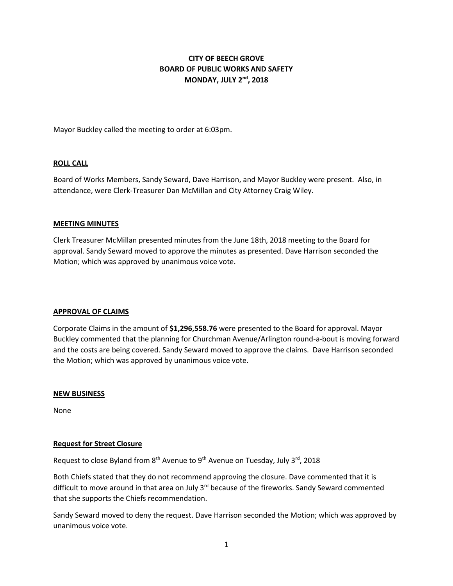# **CITY OF BEECH GROVE BOARD OF PUBLIC WORKS AND SAFETY MONDAY, JULY 2nd , 2018**

Mayor Buckley called the meeting to order at 6:03pm.

#### **ROLL CALL**

Board of Works Members, Sandy Seward, Dave Harrison, and Mayor Buckley were present. Also, in attendance, were Clerk-Treasurer Dan McMillan and City Attorney Craig Wiley.

#### **MEETING MINUTES**

Clerk Treasurer McMillan presented minutes from the June 18th, 2018 meeting to the Board for approval. Sandy Seward moved to approve the minutes as presented. Dave Harrison seconded the Motion; which was approved by unanimous voice vote.

#### **APPROVAL OF CLAIMS**

Corporate Claims in the amount of **\$1,296,558.76** were presented to the Board for approval. Mayor Buckley commented that the planning for Churchman Avenue/Arlington round-a-bout is moving forward and the costs are being covered. Sandy Seward moved to approve the claims. Dave Harrison seconded the Motion; which was approved by unanimous voice vote.

#### **NEW BUSINESS**

None

# **Request for Street Closure**

Request to close Byland from  $8<sup>th</sup>$  Avenue to  $9<sup>th</sup>$  Avenue on Tuesday, July  $3<sup>rd</sup>$ , 2018

Both Chiefs stated that they do not recommend approving the closure. Dave commented that it is difficult to move around in that area on July 3<sup>rd</sup> because of the fireworks. Sandy Seward commented that she supports the Chiefs recommendation.

Sandy Seward moved to deny the request. Dave Harrison seconded the Motion; which was approved by unanimous voice vote.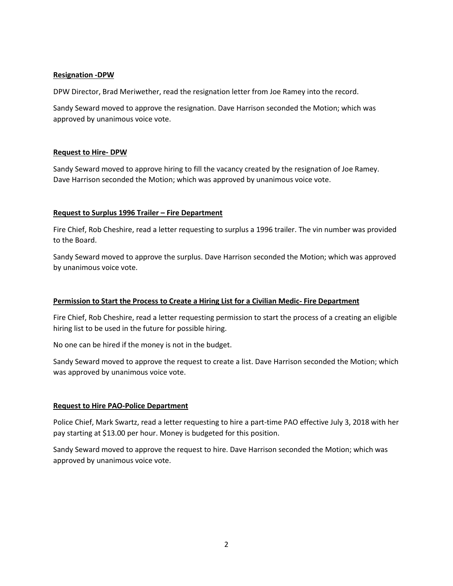# **Resignation -DPW**

DPW Director, Brad Meriwether, read the resignation letter from Joe Ramey into the record.

Sandy Seward moved to approve the resignation. Dave Harrison seconded the Motion; which was approved by unanimous voice vote.

#### **Request to Hire- DPW**

Sandy Seward moved to approve hiring to fill the vacancy created by the resignation of Joe Ramey. Dave Harrison seconded the Motion; which was approved by unanimous voice vote.

#### **Request to Surplus 1996 Trailer – Fire Department**

Fire Chief, Rob Cheshire, read a letter requesting to surplus a 1996 trailer. The vin number was provided to the Board.

Sandy Seward moved to approve the surplus. Dave Harrison seconded the Motion; which was approved by unanimous voice vote.

# **Permission to Start the Process to Create a Hiring List for a Civilian Medic- Fire Department**

Fire Chief, Rob Cheshire, read a letter requesting permission to start the process of a creating an eligible hiring list to be used in the future for possible hiring.

No one can be hired if the money is not in the budget.

Sandy Seward moved to approve the request to create a list. Dave Harrison seconded the Motion; which was approved by unanimous voice vote.

# **Request to Hire PAO-Police Department**

Police Chief, Mark Swartz, read a letter requesting to hire a part-time PAO effective July 3, 2018 with her pay starting at \$13.00 per hour. Money is budgeted for this position.

Sandy Seward moved to approve the request to hire. Dave Harrison seconded the Motion; which was approved by unanimous voice vote.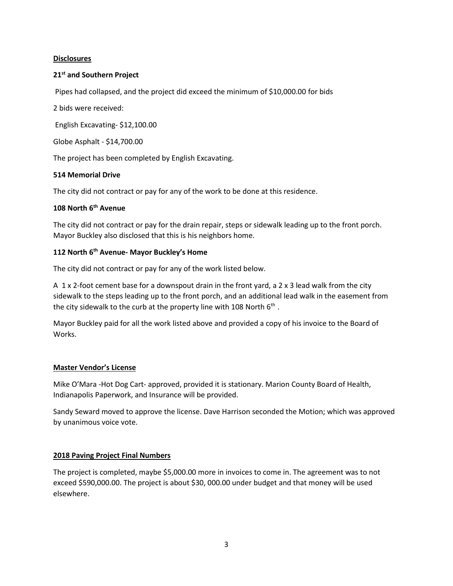# **Disclosures**

# **21st and Southern Project**

Pipes had collapsed, and the project did exceed the minimum of \$10,000.00 for bids

2 bids were received:

English Excavating- \$12,100.00

Globe Asphalt - \$14,700.00

The project has been completed by English Excavating.

#### **514 Memorial Drive**

The city did not contract or pay for any of the work to be done at this residence.

# **108 North 6 th Avenue**

The city did not contract or pay for the drain repair, steps or sidewalk leading up to the front porch. Mayor Buckley also disclosed that this is his neighbors home.

#### **112 North 6th Avenue- Mayor Buckley's Home**

The city did not contract or pay for any of the work listed below.

A 1 x 2-foot cement base for a downspout drain in the front yard, a 2 x 3 lead walk from the city sidewalk to the steps leading up to the front porch, and an additional lead walk in the easement from the city sidewalk to the curb at the property line with 108 North 6<sup>th</sup>.

Mayor Buckley paid for all the work listed above and provided a copy of his invoice to the Board of Works.

#### **Master Vendor's License**

Mike O'Mara -Hot Dog Cart- approved, provided it is stationary. Marion County Board of Health, Indianapolis Paperwork, and Insurance will be provided.

Sandy Seward moved to approve the license. Dave Harrison seconded the Motion; which was approved by unanimous voice vote.

# **2018 Paving Project Final Numbers**

The project is completed, maybe \$5,000.00 more in invoices to come in. The agreement was to not exceed \$590,000.00. The project is about \$30, 000.00 under budget and that money will be used elsewhere.